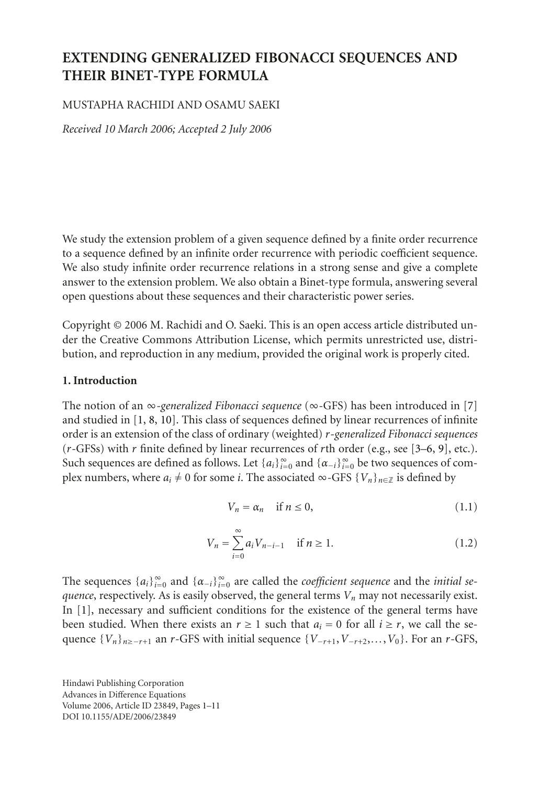# **EXTENDING GENERALIZED FIBONACCI SEQUENCES AND THEIR BINET-TYPE FORMULA**

### MUSTAPHA RACHIDI AND OSAMU SAEKI

*Received 10 March 2006; Accepted 2 July 2006*

We study the extension problem of a given sequence defined by a finite order recurrence to a sequence defined by an infinite order recurrence with periodic coefficient sequence. We also study infinite order recurrence relations in a strong sense and give a complete answer to the extension problem. We also obtain a Binet-type formula, answering several open questions about these sequences and their characteristic power series.

Copyright © 2006 M. Rachidi and O. Saeki. This is an open access article distributed under the Creative Commons Attribution License, which permits unrestricted use, distribution, and reproduction in any medium, provided the original work is properly cited.

### **1. Introduction**

The notion of an ∞-*generalized Fibonacci sequence* (∞-GFS) has been introduced in [\[7](#page-10-0)] and studied in [\[1](#page-10-1), [8,](#page-10-2) [10\]](#page-10-3). This class of sequences defined by linear recurrences of infinite order is an extension of the class of ordinary (weighted) *r-generalized Fibonacci sequences* (*r*-GFSs) with *r* finite defined by linear recurrences of *r*th order (e.g., see [\[3](#page-10-4)[–6,](#page-10-5) [9\]](#page-10-6), etc.). Such sequences are defined as follows. Let  $\{a_i\}_{i=0}^{\infty}$  and  $\{\alpha_{-i}\}_{i=0}^{\infty}$  be two sequences of complex numbers, where  $a_i \neq 0$  for some *i*. The associated ∞-GFS  $\{V_n\}_{n \in \mathbb{Z}}$  is defined by

<span id="page-0-1"></span><span id="page-0-0"></span>
$$
V_n = \alpha_n \quad \text{if } n \le 0,
$$
\n<sup>(1.1)</sup>

$$
V_n = \sum_{i=0}^{\infty} a_i V_{n-i-1} \quad \text{if } n \ge 1.
$$
 (1.2)

The sequences  $\{a_i\}_{i=0}^{\infty}$  and  $\{\alpha_{-i}\}_{i=0}^{\infty}$  are called the *coefficient sequence* and the *initial sequence*, respectively. As is easily observed, the general terms  $V_n$  may not necessarily exist. In [\[1](#page-10-1)], necessary and sufficient conditions for the existence of the general terms have been studied. When there exists an  $r \ge 1$  such that  $a_i = 0$  for all  $i \ge r$ , we call the sequence  ${V_n}_{n \ge -r+1}$  an *r*-GFS with initial sequence  ${V_{-r+1}, V_{-r+2},..., V_0}$ . For an *r*-GFS,

Hindawi Publishing Corporation Advances in Difference Equations Volume 2006, Article ID 23849, Pages 1[–11](#page-10-7) DOI 10.1155/ADE/2006/23849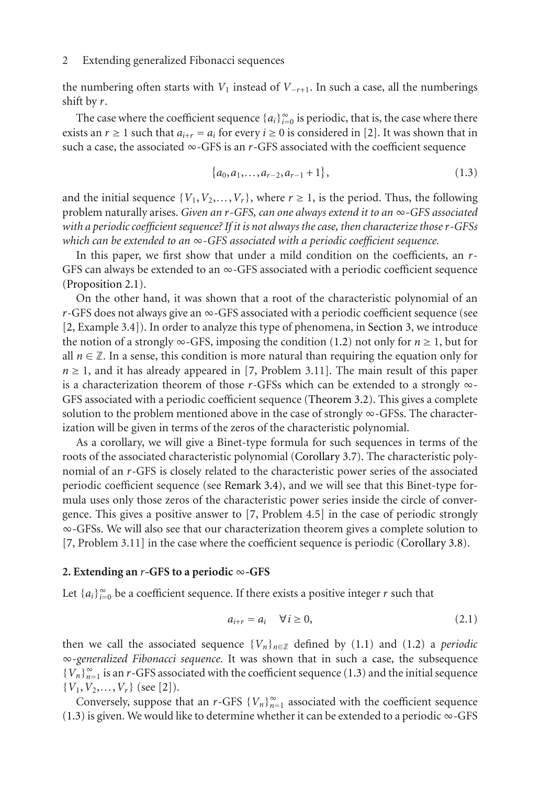the numbering often starts with  $V_1$  instead of  $V_{-r+1}$ . In such a case, all the numberings shift by *r*.

The case where the coefficient sequence  ${a_i}_{i=0}^{\infty}$  is periodic, that is, the case where there exists an  $r \ge 1$  such that  $a_{i+r} = a_i$  for every  $i \ge 0$  is considered in [\[2](#page-10-8)]. It was shown that in such a case, the associated  $\infty$ -GFS is an *r*-GFS associated with the coefficient sequence

<span id="page-1-0"></span>
$$
\{a_0, a_1, \ldots, a_{r-2}, a_{r-1}+1\},\tag{1.3}
$$

and the initial sequence  $\{V_1, V_2, \ldots, V_r\}$ , where  $r \geq 1$ , is the period. Thus, the following problem naturally arises. *Given an <sup>r</sup>-GFS, can one always extend it to an* <sup>∞</sup>*-GFS associated with a periodic coefficient sequence? If it is not always the case, then characterize thoser-GFSs which can be extended to an* ∞*-GFS associated with a periodic coefficient sequence.*

In this paper, we first show that under a mild condition on the coefficients, an *r*-GFS can always be extended to an  $\infty$ -GFS associated with a periodic coefficient sequence [\(Proposition 2.1\)](#page-2-0).

On the other hand, it was shown that a root of the characteristic polynomial of an  $r$ -GFS does not always give an  $\infty$ -GFS associated with a periodic coefficient sequence (see [\[2,](#page-10-8) Example 3.4]). In order to analyze this type of phenomena, in [Section 3,](#page-4-0) we introduce the notion of a strongly  $\infty$ -GFS, imposing the condition [\(1.2\)](#page-0-0) not only for  $n \ge 1$ , but for all  $n \in \mathbb{Z}$ . In a sense, this condition is more natural than requiring the equation only for  $n \geq 1$ , and it has already appeared in [\[7](#page-10-0), Problem 3.11]. The main result of this paper is a characterization theorem of those *<sup>r</sup>*-GFSs which can be extended to a strongly <sup>∞</sup>- GFS associated with a periodic coefficient sequence [\(Theorem 3.2\)](#page-4-1). This gives a complete solution to the problem mentioned above in the case of strongly  $\infty$ -GFSs. The characterization will be given in terms of the zeros of the characteristic polynomial.

As a corollary, we will give a Binet-type formula for such sequences in terms of the roots of the associated characteristic polynomial [\(Corollary 3.7\)](#page-8-0). The characteristic polynomial of an *r*-GFS is closely related to the characteristic power series of the associated periodic coefficient sequence (see [Remark 3.4\)](#page-4-2), and we will see that this Binet-type formula uses only those zeros of the characteristic power series inside the circle of convergence. This gives a positive answer to [\[7](#page-10-0), Problem 4.5] in the case of periodic strongly ∞-GFSs. We will also see that our characterization theorem gives a complete solution to [\[7,](#page-10-0) Problem 3.11] in the case where the coefficient sequence is periodic [\(Corollary 3.8\)](#page-9-0).

#### **2. Extending an** *<sup>r</sup>***-GFS to a periodic** <sup>∞</sup>**-GFS**

Let  ${a_i}_{i=0}^{\infty}$  be a coefficient sequence. If there exists a positive integer *r* such that

<span id="page-1-1"></span>
$$
a_{i+r} = a_i \quad \forall i \ge 0,
$$
\n
$$
(2.1)
$$

then we call the associated sequence  ${V_n}_{n \in \mathbb{Z}}$  defined by [\(1.1\)](#page-0-1) and [\(1.2\)](#page-0-0) a *periodic* ∞-*generalized Fibonacci sequence*. It was shown that in such a case, the subsequence  ${V_n}_{n=1}^{\infty}$  is an *r*-GFS associated with the coefficient sequence [\(1.3\)](#page-1-0) and the initial sequence  ${V_1, V_2, ..., V_r}$  (see [\[2\]](#page-10-8)).

Conversely, suppose that an *r*-GFS  ${V_n}_{n=1}^{\infty}$  associated with the coefficient sequence [\(1.3\)](#page-1-0) is given. We would like to determine whether it can be extended to a periodic ∞-GFS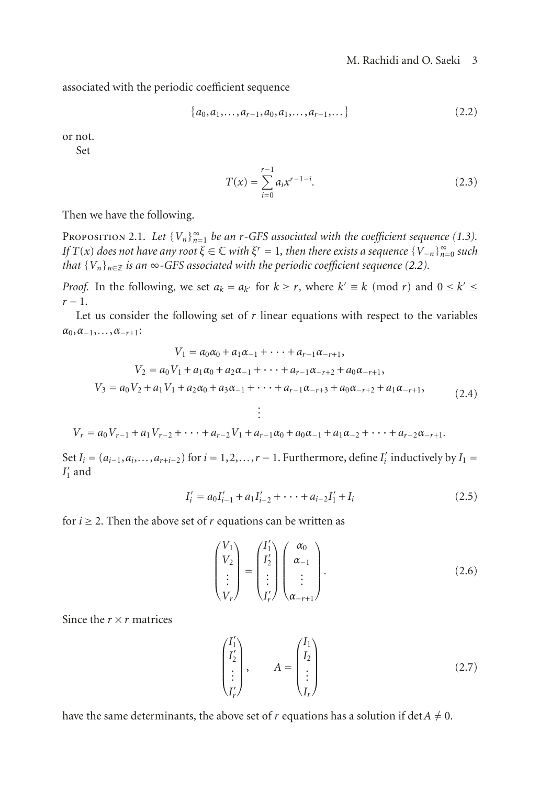associated with the periodic coefficient sequence

$$
\{a_0, a_1, \ldots, a_{r-1}, a_0, a_1, \ldots, a_{r-1}, \ldots\}
$$
\n(2.2)

or not.

Set

<span id="page-2-1"></span>
$$
T(x) = \sum_{i=0}^{r-1} a_i x^{r-1-i}.
$$
 (2.3)

<span id="page-2-0"></span>Then we have the following.

PROPOSITION 2.1. Let  ${V_n}_{n=1}^{\infty}$  *be an r-GFS associated with the coefficient sequence* [\(1.3\)](#page-1-0)*. If*  $T(x)$  *does not have any root*  $\xi \in \mathbb{C}$  *with*  $\xi^r = 1$ *, then there exists a sequence*  $\{V_{-n}\}_{n=0}^{\infty}$  *such that*  ${V_n}_{n \in \mathbb{Z}}$  *is an*  $\infty$ *-GFS associated with the periodic coefficient sequence [\(2.2\)](#page-2-1).* 

*Proof.* In the following, we set  $a_k = a_{k'}$  for  $k \ge r$ , where  $k' \equiv k \pmod{r}$  and  $0 \le k' \le$ *<sup>r</sup>* <sup>−</sup> 1.

Let us consider the following set of *r* linear equations with respect to the variables  $\alpha_0, \alpha_{-1}, \ldots, \alpha_{-r+1}$ :

$$
V_1 = a_0\alpha_0 + a_1\alpha_{-1} + \dots + a_{r-1}\alpha_{-r+1},
$$
  
\n
$$
V_2 = a_0V_1 + a_1\alpha_0 + a_2\alpha_{-1} + \dots + a_{r-1}\alpha_{-r+2} + a_0\alpha_{-r+1},
$$
  
\n
$$
V_3 = a_0V_2 + a_1V_1 + a_2\alpha_0 + a_3\alpha_{-1} + \dots + a_{r-1}\alpha_{-r+3} + a_0\alpha_{-r+2} + a_1\alpha_{-r+1},
$$
  
\n
$$
\vdots
$$
\n(2.4)

$$
V_r = a_0 V_{r-1} + a_1 V_{r-2} + \cdots + a_{r-2} V_1 + a_{r-1} \alpha_0 + a_0 \alpha_{-1} + a_1 \alpha_{-2} + \cdots + a_{r-2} \alpha_{-r+1}.
$$

Set  $I_i = (a_{i-1}, a_i, \ldots, a_{r+i-2})$  for  $i = 1, 2, \ldots, r-1$ . Furthermore, define  $I'_i$  inductively by  $I_1 =$  $I_1'$  and

$$
I'_{i} = a_{0}I'_{i-1} + a_{1}I'_{i-2} + \cdots + a_{i-2}I'_{1} + I_{i}
$$
\n(2.5)

for  $i \geq 2$ . Then the above set of *r* equations can be written as

$$
\begin{pmatrix} V_1 \\ V_2 \\ \vdots \\ V_r \end{pmatrix} = \begin{pmatrix} I'_1 \\ I'_2 \\ \vdots \\ I'_r \end{pmatrix} \begin{pmatrix} \alpha_0 \\ \alpha_{-1} \\ \vdots \\ \alpha_{-r+1} \end{pmatrix} . \tag{2.6}
$$

Since the  $r \times r$  matrices

$$
\begin{pmatrix} I_1' \\ I_2' \\ \vdots \\ I_r' \end{pmatrix}, \qquad A = \begin{pmatrix} I_1 \\ I_2 \\ \vdots \\ I_r \end{pmatrix}
$$
 (2.7)

have the same determinants, the above set of *r* equations has a solution if det  $A \neq 0$ .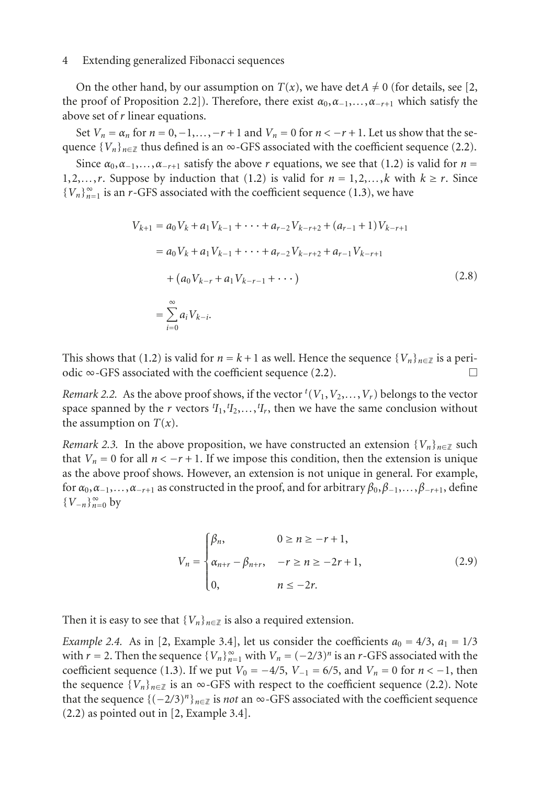On the other hand, by our assumption on  $T(x)$ , we have det $A \neq 0$  (for details, see [\[2,](#page-10-8) the proof of Proposition 2.2]). Therefore, there exist  $\alpha_0, \alpha_{-1}, \ldots, \alpha_{-r+1}$  which satisfy the above set of *r* linear equations.

Set  $V_n = \alpha_n$  for  $n = 0, -1, \ldots, -r + 1$  and  $V_n = 0$  for  $n < -r + 1$ . Let us show that the sequence  ${V_n}_{n \in \mathbb{Z}}$  thus defined is an  $\infty$ -GFS associated with the coefficient sequence [\(2.2\)](#page-2-1).

Since  $\alpha_0, \alpha_{-1}, \ldots, \alpha_{-r+1}$  satisfy the above *r* equations, we see that [\(1.2\)](#page-0-0) is valid for  $n =$ 1,2,...,r. Suppose by induction that [\(1.2\)](#page-0-0) is valid for  $n = 1,2,...,k$  with  $k \ge r$ . Since  ${V_n}_{n=1}^{\infty}$  is an *r*-GFS associated with the coefficient sequence [\(1.3\)](#page-1-0), we have

$$
V_{k+1} = a_0 V_k + a_1 V_{k-1} + \dots + a_{r-2} V_{k-r+2} + (a_{r-1} + 1) V_{k-r+1}
$$
  
=  $a_0 V_k + a_1 V_{k-1} + \dots + a_{r-2} V_{k-r+2} + a_{r-1} V_{k-r+1}$   
+  $(a_0 V_{k-r} + a_1 V_{k-r-1} + \dots)$   
=  $\sum_{i=0}^{\infty} a_i V_{k-i}.$  (2.8)

This shows that [\(1.2\)](#page-0-0) is valid for  $n = k + 1$  as well. Hence the sequence  $\{V_n\}_{n \in \mathbb{Z}}$  is a peri-odic ∞-GFS associated with the coefficient sequence [\(2.2\)](#page-2-1).  $\Box$ 

*Remark 2.2.* As the above proof shows, if the vector  ${}^t(V_1, V_2, \ldots, V_r)$  belongs to the vector space spanned by the *r* vectors  ${}^{t}I_1, {}^{t}I_2, \ldots, {}^{t}I_r$ , then we have the same conclusion without the assumption on  $T(x)$ .

*Remark 2.3.* In the above proposition, we have constructed an extension  $\{V_n\}_{n\in\mathbb{Z}}$  such that  $V_n = 0$  for all  $n < -r + 1$ . If we impose this condition, then the extension is unique as the above proof shows. However, an extension is not unique in general. For example, for  $\alpha_0, \alpha_{-1}, \ldots, \alpha_{-r+1}$  as constructed in the proof, and for arbitrary  $\beta_0, \beta_{-1}, \ldots, \beta_{-r+1}$ , define {*V*−*n*}<sup>∞</sup> *<sup>n</sup>*=<sup>0</sup> by

$$
V_n = \begin{cases} \beta_n, & 0 \ge n \ge -r+1, \\ \alpha_{n+r} - \beta_{n+r}, & -r \ge n \ge -2r+1, \\ 0, & n \le -2r. \end{cases}
$$
 (2.9)

<span id="page-3-0"></span>Then it is easy to see that  ${V_n}_{n \in \mathbb{Z}}$  is also a required extension.

*Example 2.4.* As in [\[2](#page-10-8), Example 3.4], let us consider the coefficients  $a_0 = 4/3$ ,  $a_1 = 1/3$ with *r* = 2. Then the sequence  $\{V_n\}_{n=1}^{\infty}$  with  $V_n = (-2/3)^n$  is an *r*-GFS associated with the coefficient sequence [\(1.3\)](#page-1-0). If we put  $V_0 = -4/5$ ,  $V_{-1} = 6/5$ , and  $V_n = 0$  for  $n < -1$ , then the sequence  $\{V_n\}_{n\in\mathbb{Z}}$  is an  $\infty$ -GFS with respect to the coefficient sequence [\(2.2\)](#page-2-1). Note that the sequence  $\{(-2/3)^n\}_{n\in\mathbb{Z}}$  is *not* an ∞-GFS associated with the coefficient sequence [\(2.2\)](#page-2-1) as pointed out in [\[2](#page-10-8), Example 3.4].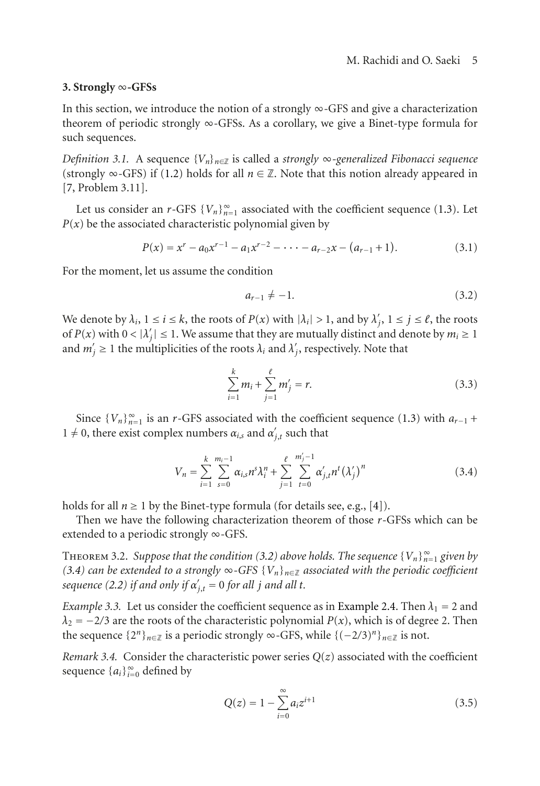#### <span id="page-4-0"></span>**3. Strongly** ∞**-GFSs**

In this section, we introduce the notion of a strongly  $\infty$ -GFS and give a characterization theorem of periodic strongly ∞-GFSs. As a corollary, we give a Binet-type formula for such sequences.

<span id="page-4-6"></span>*Definition 3.1.* A sequence {*Vn*}*n*∈<sup>Z</sup> is called a *strongly* <sup>∞</sup>*-generalized Fibonacci sequence* (strongly ∞-GFS) if [\(1.2\)](#page-0-0) holds for all  $n \in \mathbb{Z}$ . Note that this notion already appeared in [\[7,](#page-10-0) Problem 3.11].

Let us consider an *r*-GFS  ${V_n}_{n=1}^{\infty}$  associated with the coefficient sequence [\(1.3\)](#page-1-0). Let  $P(x)$  be the associated characteristic polynomial given by

$$
P(x) = x^{r} - a_0 x^{r-1} - a_1 x^{r-2} - \dots - a_{r-2} x - (a_{r-1} + 1).
$$
 (3.1)

For the moment, let us assume the condition

<span id="page-4-3"></span>
$$
a_{r-1} \neq -1. \tag{3.2}
$$

We denote by  $\lambda_i$ ,  $1 \le i \le k$ , the roots of  $P(x)$  with  $|\lambda_i| > 1$ , and by  $\lambda'_j$ ,  $1 \le j \le \ell$ , the roots of  $P(x)$  with  $0 < |\lambda'_j| \le 1$ . We assume that they are mutually distinct and denote by  $m_i \ge 1$ and  $m'_j \ge 1$  the multiplicities of the roots  $\lambda_i$  and  $\lambda'_j$ , respectively. Note that

<span id="page-4-4"></span>
$$
\sum_{i=1}^{k} m_i + \sum_{j=1}^{\ell} m'_j = r.
$$
 (3.3)

Since  ${V_n}_{n=1}^{\infty}$  is an *r*-GFS associated with the coefficient sequence [\(1.3\)](#page-1-0) with  $a_{r-1}$  + 1  $\neq$  0, there exist complex numbers  $\alpha_{i,s}$  and  $\alpha'_{j,t}$  such that

$$
V_n = \sum_{i=1}^k \sum_{s=0}^{m_i-1} \alpha_{i,s} n^s \lambda_i^n + \sum_{j=1}^\ell \sum_{t=0}^{m'_j-1} \alpha'_{j,t} n^t (\lambda'_j)^n
$$
 (3.4)

holds for all  $n \ge 1$  by the Binet-type formula (for details see, e.g., [\[4](#page-10-9)]).

<span id="page-4-1"></span>Then we have the following characterization theorem of those *r*-GFSs which can be extended to a periodic strongly ∞-GFS.

**THEOREM 3.2.** Suppose that the condition [\(3.2\)](#page-4-3) above holds. The sequence  $\{V_n\}_{n=1}^{\infty}$  given by *[\(3.4\)](#page-4-4)* can be extended to a strongly ∞-GFS  ${V_n}_{n \in \mathbb{Z}}$  associated with the periodic coefficient *sequence* [\(2.2\)](#page-2-1) *if and only if*  $\alpha'_{j,t} = 0$  *for all j and all t.* 

*Example 3.3.* Let us consider the coefficient sequence as in [Example 2.4.](#page-3-0) Then  $\lambda_1 = 2$  and  $\lambda_2 = -2/3$  are the roots of the characteristic polynomial *P*(*x*), which is of degree 2. Then the sequence  $\{2^n\}_{n\in\mathbb{Z}}$  is a periodic strongly ∞-GFS, while  $\{(-2/3)^n\}_{n\in\mathbb{Z}}$  is not.

<span id="page-4-2"></span>*Remark 3.4.* Consider the characteristic power series  $Q(z)$  associated with the coefficient sequence  ${a_i}_{i=0}^\infty$  defined by

<span id="page-4-5"></span>
$$
Q(z) = 1 - \sum_{i=0}^{\infty} a_i z^{i+1}
$$
 (3.5)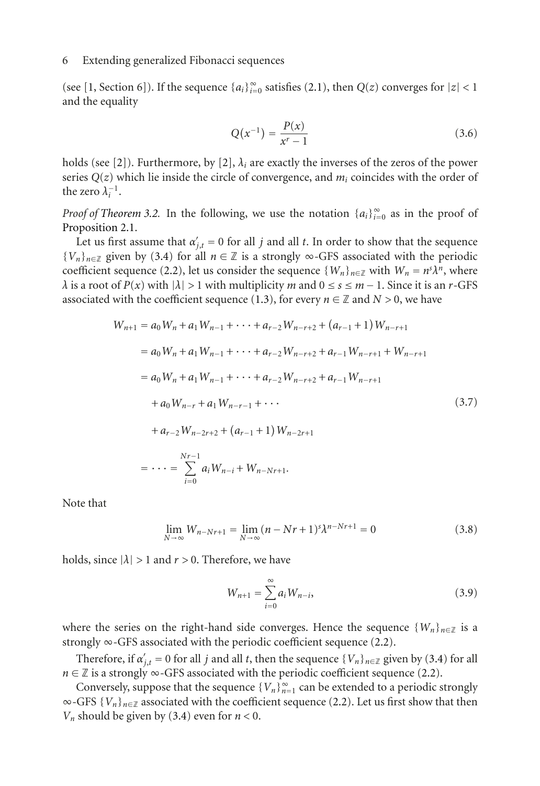(see [\[1](#page-10-1), Section 6]). If the sequence  ${a_i}_{i=0}^{\infty}$  satisfies [\(2.1\)](#page-1-1), then  $Q(z)$  converges for  $|z| < 1$ and the equality

$$
Q(x^{-1}) = \frac{P(x)}{x^r - 1}
$$
 (3.6)

holds (see [\[2](#page-10-8)]). Furthermore, by [\[2\]](#page-10-8),  $\lambda_i$  are exactly the inverses of the zeros of the power series  $Q(z)$  which lie inside the circle of convergence, and  $m_i$  coincides with the order of the zero  $\lambda_i^{-1}$ .

*Proof of [Theorem 3.2.](#page-4-1)* In the following, we use the notation  $\{a_i\}_{i=0}^{\infty}$  as in the proof of [Proposition 2.1.](#page-2-0)

Let us first assume that  $\alpha'_{j,t} = 0$  for all *j* and all *t*. In order to show that the sequence  ${V_n}_{n \in \mathbb{Z}}$  given by [\(3.4\)](#page-4-4) for all  $n \in \mathbb{Z}$  is a strongly  $\infty$ -GFS associated with the periodic coefficient sequence [\(2.2\)](#page-2-1), let us consider the sequence  $\{W_n\}_{n\in\mathbb{Z}}$  with  $W_n = n^s \lambda^n$ , where *λ* is a root of  $P(x)$  with  $|\lambda| > 1$  with multiplicity *m* and  $0 \le s \le m - 1$ . Since it is an *r*-GFS associated with the coefficient sequence [\(1.3\)](#page-1-0), for every  $n \in \mathbb{Z}$  and  $N > 0$ , we have

$$
W_{n+1} = a_0 W_n + a_1 W_{n-1} + \dots + a_{r-2} W_{n-r+2} + (a_{r-1} + 1) W_{n-r+1}
$$
  
\n
$$
= a_0 W_n + a_1 W_{n-1} + \dots + a_{r-2} W_{n-r+2} + a_{r-1} W_{n-r+1} + W_{n-r+1}
$$
  
\n
$$
= a_0 W_n + a_1 W_{n-1} + \dots + a_{r-2} W_{n-r+2} + a_{r-1} W_{n-r+1}
$$
  
\n
$$
+ a_0 W_{n-r} + a_1 W_{n-r-1} + \dots
$$
  
\n
$$
+ a_{r-2} W_{n-r+2} + (a_{r-1} + 1) W_{n-2r+1}
$$
  
\n
$$
= \dots = \sum_{i=0}^{Nr-1} a_i W_{n-i} + W_{n-Nr+1}.
$$
  
\n(3.7)

Note that

$$
\lim_{N \to \infty} W_{n-Nr+1} = \lim_{N \to \infty} (n - Nr + 1)^s \lambda^{n-Nr+1} = 0
$$
\n(3.8)

holds, since  $|\lambda| > 1$  and  $r > 0$ . Therefore, we have

$$
W_{n+1} = \sum_{i=0}^{\infty} a_i W_{n-i},
$$
\n(3.9)

where the series on the right-hand side converges. Hence the sequence  $\{W_n\}_{n\in\mathbb{Z}}$  is a strongly ∞-GFS associated with the periodic coefficient sequence [\(2.2\)](#page-2-1).

Therefore, if  $\alpha'_{j,t} = 0$  for all *j* and all *t*, then the sequence  $\{V_n\}_{n \in \mathbb{Z}}$  given by [\(3.4\)](#page-4-4) for all *n* ∈ ℤ is a strongly ∞-GFS associated with the periodic coefficient sequence [\(2.2\)](#page-2-1).

Conversely, suppose that the sequence  ${V_n}_{n=1}^{\infty}$  can be extended to a periodic strongly  $\infty$ -GFS { $V_n$ }<sub>n∈Z</sub> associated with the coefficient sequence [\(2.2\)](#page-2-1). Let us first show that then *Vn* should be given by [\(3.4\)](#page-4-4) even for *n <* 0.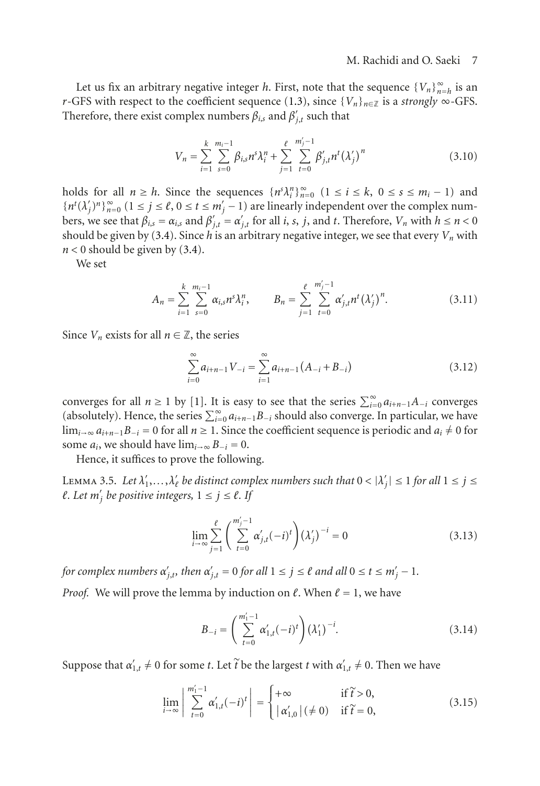Let us fix an arbitrary negative integer *h*. First, note that the sequence  $\{V_n\}_{n=h}^{\infty}$  is an *r*-GFS with respect to the coefficient sequence [\(1.3\)](#page-1-0), since  ${V_n}_{n \in \mathbb{Z}}$  is a *strongly* ∞-GFS. Therefore, there exist complex numbers  $\beta_{i,s}$  and  $\beta'_{j,t}$  such that

$$
V_n = \sum_{i=1}^{k} \sum_{s=0}^{m_i-1} \beta_{i,s} n^s \lambda_i^n + \sum_{j=1}^{\ell} \sum_{t=0}^{m'_j-1} \beta'_{j,t} n^t (\lambda'_j)^n
$$
 (3.10)

holds for all  $n \ge h$ . Since the sequences  $\{n^s \lambda_i^n\}_{n=0}^{\infty}$   $(1 \le i \le k, 0 \le s \le m_i - 1)$  and  ${n<sup>t</sup>(\lambda'_j)^n}$ <sup>2</sup> $_{n=0}^{\infty}$  (1 ≤ *j* ≤  $\ell$ , 0 ≤ *t* ≤ *m*<sup>'</sup><sub>j</sub> − 1) are linearly independent over the complex numbers, we see that  $\beta_{i,s} = \alpha_{i,s}$  and  $\beta'_{j,t} = \alpha'_{j,t}$  for all *i*, *s*, *j*, and *t*. Therefore, *V<sub>n</sub>* with  $h \le n < 0$ should be given by [\(3.4\)](#page-4-4). Since *h* is an arbitrary negative integer, we see that every  $V_n$  with  $n < 0$  should be given by  $(3.4)$ .

We set

$$
A_n = \sum_{i=1}^k \sum_{s=0}^{m_i-1} \alpha_{i,s} n^s \lambda_i^n, \qquad B_n = \sum_{j=1}^\ell \sum_{t=0}^{m'_j-1} \alpha'_{j,t} n^t (\lambda'_j)^n.
$$
 (3.11)

Since  $V_n$  exists for all  $n \in \mathbb{Z}$ , the series

$$
\sum_{i=0}^{\infty} a_{i+n-1} V_{-i} = \sum_{i=1}^{\infty} a_{i+n-1} (A_{-i} + B_{-i})
$$
\n(3.12)

converges for all *n* ≥ 1 by [\[1](#page-10-1)]. It is easy to see that the series  $\sum_{i=0}^{\infty} a_{i+n-1}A_{-i}$  converges (absolutely). Hence, the series  $\sum_{i=0}^{\infty} a_{i+n-1}B_{-i}$  should also converge. In particular, we have  $\lim_{i\to\infty} a_{i+n-1}B_{-i} = 0$  for all  $n \ge 1$ . Since the coefficient sequence is periodic and  $a_i \ne 0$  for some  $a_i$ , we should have  $\lim_{i\to\infty} B_{-i} = 0$ .

Hence, it suffices to prove the following.

<span id="page-6-0"></span>LEMMA 3.5. Let  $\lambda'_1, \ldots, \lambda'_\ell$  be distinct complex numbers such that  $0 < |\lambda'_j| \le 1$  for all  $1 \le j \le k$  $l$ . Let  $m'_j$  be positive integers,  $1 \le j \le l$ . If

$$
\lim_{i \to \infty} \sum_{j=1}^{\ell} \left( \sum_{t=0}^{m'_j - 1} \alpha'_{j,t} (-i)^t \right) (\lambda'_j)^{-i} = 0
$$
\n(3.13)

*for complex numbers*  $\alpha'_{j,t}$ *, then*  $\alpha'_{j,t} = 0$  *for all*  $1 \leq j \leq \ell$  *and all*  $0 \leq t \leq m'_j - 1$ *. Proof.* We will prove the lemma by induction on  $\ell$ . When  $\ell = 1$ , we have

$$
B_{-i} = \left(\sum_{t=0}^{m_1'-1} \alpha_{1,t}'(-i)^t\right) (\lambda_1')^{-i}.
$$
 (3.14)

Suppose that  $\alpha'_{1,t} \neq 0$  for some *t*. Let  $\widetilde{t}$  be the largest *t* with  $\alpha'_{1,t} \neq 0$ . Then we have

$$
\lim_{i \to \infty} \left| \sum_{t=0}^{m_1'-1} \alpha'_{1,t}(-i)^t \right| = \begin{cases} +\infty & \text{if } \widetilde{t} > 0, \\ |\alpha'_{1,0}| \ (\neq 0) & \text{if } \widetilde{t} = 0, \end{cases}
$$
 (3.15)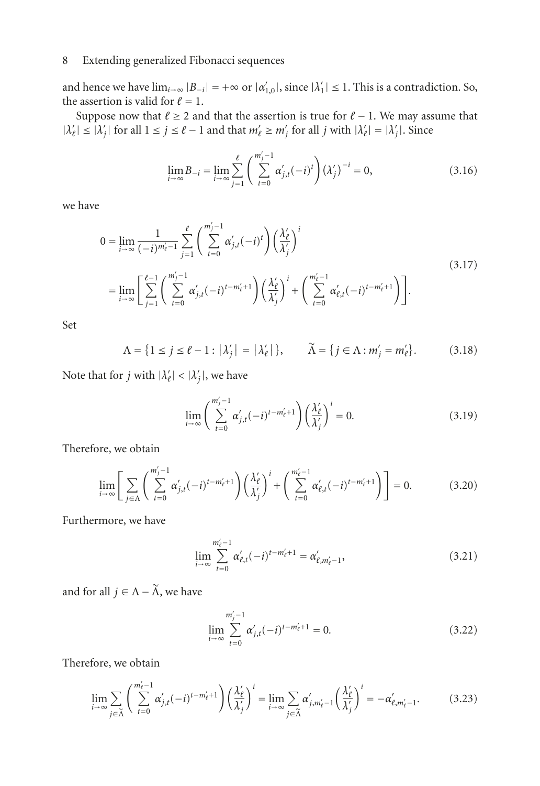and hence we have  $\lim_{i\to\infty} |B_{-i}| = +\infty$  or  $|\alpha'_{1,0}|$ , since  $|\lambda'_1| \leq 1$ . This is a contradiction. So, the assertion is valid for  $\ell = 1$ .

Suppose now that  $\ell \geq 2$  and that the assertion is true for  $\ell - 1$ . We may assume that  $|\lambda'_{\ell}| \le |\lambda'_{j}|$  for all  $1 \le j \le \ell - 1$  and that  $m'_{\ell} \ge m'_{j}$  for all *j* with  $|\lambda'_{\ell}| = |\lambda'_{j}|$ . Since

$$
\lim_{i \to \infty} B_{-i} = \lim_{i \to \infty} \sum_{j=1}^{\ell} \left( \sum_{t=0}^{m'_j - 1} \alpha'_{j,t}(-i)^t \right) (\lambda'_j)^{-i} = 0,
$$
\n(3.16)

we have

$$
0 = \lim_{i \to \infty} \frac{1}{(-i)^{m'_{\ell}-1}} \sum_{j=1}^{\ell} \left( \sum_{t=0}^{m'_{j}-1} \alpha'_{j,t}(-i)^{t} \right) \left( \frac{\lambda'_{\ell}}{\lambda'_{j}} \right)^{i}
$$
  
\n
$$
= \lim_{i \to \infty} \left[ \sum_{j=1}^{\ell-1} \left( \sum_{t=0}^{m'_{j}-1} \alpha'_{j,t}(-i)^{t-m'_{\ell}+1} \right) \left( \frac{\lambda'_{\ell}}{\lambda'_{j}} \right)^{i} + \left( \sum_{t=0}^{m'_{\ell}-1} \alpha'_{\ell,t}(-i)^{t-m'_{\ell}+1} \right) \right].
$$
\n(3.17)

Set

$$
\Lambda = \{ 1 \le j \le \ell - 1 : |\lambda'_j| = |\lambda'_\ell| \}, \qquad \widetilde{\Lambda} = \{ j \in \Lambda : m'_j = m'_\ell \}. \tag{3.18}
$$

Note that for *j* with  $|\lambda'_{\ell}| < |\lambda'_{j}|$ , we have

$$
\lim_{i \to \infty} \left( \sum_{t=0}^{m'_j - 1} \alpha'_{j,t} (-i)^{t - m'_\ell + 1} \right) \left( \frac{\lambda'_{\ell}}{\lambda'_j} \right)^i = 0.
$$
\n(3.19)

Therefore, we obtain

$$
\lim_{i \to \infty} \left[ \sum_{j \in \Lambda} \left( \sum_{t=0}^{m'_j - 1} \alpha'_{j,t} (-i)^{t - m'_\ell + 1} \right) \left( \frac{\lambda'_{\ell}}{\lambda'_{j}} \right)^{i} + \left( \sum_{t=0}^{m'_\ell - 1} \alpha'_{\ell,t} (-i)^{t - m'_\ell + 1} \right) \right] = 0. \tag{3.20}
$$

Furthermore, we have

$$
\lim_{i \to \infty} \sum_{t=0}^{m_{\ell}'-1} \alpha'_{\ell,t}(-i)^{t-m_{\ell}'+1} = \alpha'_{\ell,m_{\ell}'-1},
$$
\n(3.21)

and for all  $j \in \Lambda - \widetilde{\Lambda}$ , we have

$$
\lim_{i \to \infty} \sum_{t=0}^{m'_j - 1} \alpha'_{j,t} (-i)^{t - m'_\ell + 1} = 0.
$$
\n(3.22)

Therefore, we obtain

$$
\lim_{i \to \infty} \sum_{j \in \widetilde{\Lambda}} \left( \sum_{t=0}^{m_{\ell}'-1} \alpha'_{j,t}(-i)^{t-m_{\ell}'+1} \right) \left( \frac{\lambda'_{\ell}}{\lambda'_{j}} \right)^{i} = \lim_{i \to \infty} \sum_{j \in \widetilde{\Lambda}} \alpha'_{j,m_{\ell}'-1} \left( \frac{\lambda'_{\ell}}{\lambda'_{j}} \right)^{i} = -\alpha'_{\ell,m_{\ell}'-1}.
$$
 (3.23)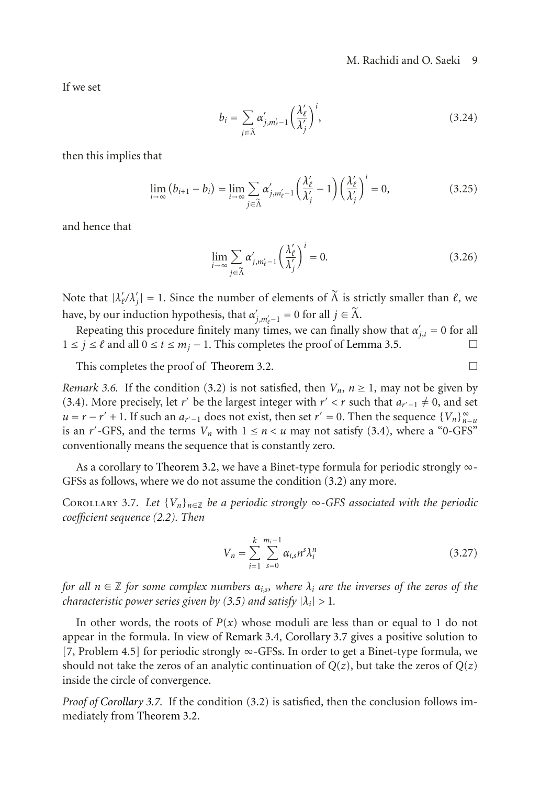If we set

$$
b_i = \sum_{j \in \widetilde{\Lambda}} \alpha'_{j,m'_\ell-1} \left(\frac{\lambda'_\ell}{\lambda'_j}\right)^i, \tag{3.24}
$$

then this implies that

$$
\lim_{i \to \infty} (b_{i+1} - b_i) = \lim_{i \to \infty} \sum_{j \in \tilde{\Lambda}} \alpha'_{j, m'_\ell - 1} \left( \frac{\lambda'_\ell}{\lambda'_j} - 1 \right) \left( \frac{\lambda'_\ell}{\lambda'_j} \right)^i = 0,
$$
\n(3.25)

and hence that

$$
\lim_{i \to \infty} \sum_{j \in \tilde{\Lambda}} \alpha'_{j,m'_\ell-1} \left(\frac{\lambda'_\ell}{\lambda'_j}\right)^i = 0.
$$
\n(3.26)

Note that  $|\lambda'_{\ell}/\lambda'_{j}| = 1$ . Since the number of elements of  $\widetilde{\Lambda}$  is strictly smaller than  $\ell$ , we have, by our induction hypothesis, that  $\alpha'_{j,m'_e-1} = 0$  for all  $j \in \widetilde{\Lambda}$ .

Repeating this procedure finitely many times, we can finally show that  $\alpha'_{j,t} = 0$  for all  $1 \le j \le \ell$  and all  $0 \le t \le m_j - 1$ . This completes the proof of [Lemma 3.5.](#page-6-0)

This completes the proof of [Theorem 3.2.](#page-4-1)  $\Box$ 

<span id="page-8-1"></span>*Remark 3.6.* If the condition [\(3.2\)](#page-4-3) is not satisfied, then  $V_n$ ,  $n \ge 1$ , may not be given by [\(3.4\)](#page-4-4). More precisely, let *r'* be the largest integer with *r'* < *r* such that  $a_{r'-1} \neq 0$ , and set  $u = r - r' + 1$ . If such an  $a_{r'-1}$  does not exist, then set  $r' = 0$ . Then the sequence  $\{V_n\}_{n=u}^{\infty}$ is an *r'*-GFS, and the terms  $V_n$  with  $1 \le n \le u$  may not satisfy [\(3.4\)](#page-4-4), where a "0-GFS" conventionally means the sequence that is constantly zero.

<span id="page-8-0"></span>As a corollary to [Theorem 3.2,](#page-4-1) we have a Binet-type formula for periodic strongly ∞- GFSs as follows, where we do not assume the condition [\(3.2\)](#page-4-3) any more.

COROLLARY 3.7. Let  ${V_n}_{n \in \mathbb{Z}}$  be a periodic strongly  $\infty$ -GFS associated with the periodic *coefficient sequence [\(2.2\)](#page-2-1). Then*

$$
V_n = \sum_{i=1}^{k} \sum_{s=0}^{m_i - 1} \alpha_{i,s} n^s \lambda_i^n
$$
 (3.27)

*for all*  $n \in \mathbb{Z}$  *for some complex numbers*  $\alpha_{i,s}$ *, where*  $\lambda_i$  *are the inverses of the zeros of the characteristic power series given by [\(3.5\)](#page-4-5)* and satisfy  $|\lambda_i| > 1$ .

In other words, the roots of  $P(x)$  whose moduli are less than or equal to 1 do not appear in the formula. In view of [Remark 3.4,](#page-4-2) [Corollary 3.7](#page-8-0) gives a positive solution to [\[7,](#page-10-0) Problem 4.5] for periodic strongly ∞-GFSs. In order to get a Binet-type formula, we should not take the zeros of an analytic continuation of  $Q(z)$ , but take the zeros of  $Q(z)$ inside the circle of convergence.

*Proof of [Corollary 3.7.](#page-8-0)* If the condition [\(3.2\)](#page-4-3) is satisfied, then the conclusion follows immediately from [Theorem 3.2.](#page-4-1)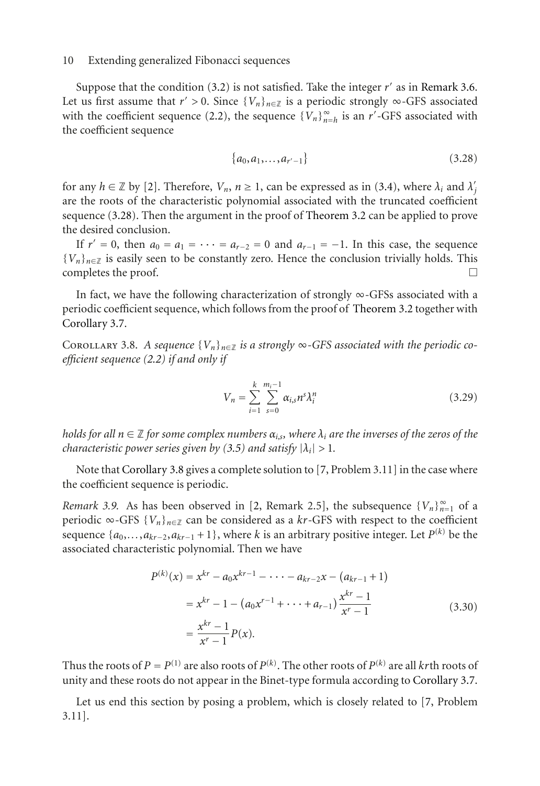Suppose that the condition  $(3.2)$  is not satisfied. Take the integer  $r'$  as in [Remark 3.6.](#page-8-1) Let us first assume that  $r' > 0$ . Since  $\{V_n\}_{n \in \mathbb{Z}}$  is a periodic strongly  $\infty$ -GFS associated with the coefficient sequence [\(2.2\)](#page-2-1), the sequence  ${V_n}_{n=h}^{\infty}$  is an *r'*-GFS associated with the coefficient sequence

<span id="page-9-1"></span>
$$
\{a_0, a_1, \ldots, a_{r'-1}\}\tag{3.28}
$$

for any  $h \in \mathbb{Z}$  by [\[2\]](#page-10-8). Therefore,  $V_n$ ,  $n \ge 1$ , can be expressed as in [\(3.4\)](#page-4-4), where  $\lambda_i$  and  $\lambda'_j$ are the roots of the characteristic polynomial associated with the truncated coefficient sequence [\(3.28\)](#page-9-1). Then the argument in the proof of [Theorem 3.2](#page-4-1) can be applied to prove the desired conclusion.

If  $r' = 0$ , then  $a_0 = a_1 = \cdots = a_{r-2} = 0$  and  $a_{r-1} = -1$ . In this case, the sequence {*V<sub>n</sub>*}<sub>*n*∈Z</sub> is easily seen to be constantly zero. Hence the conclusion trivially holds. This completes the proof.  $\Box$ completes the proof.

In fact, we have the following characterization of strongly  $\infty$ -GFSs associated with a periodic coefficient sequence, which follows from the proof of [Theorem 3.2](#page-4-1) together with [Corollary 3.7.](#page-8-0)

<span id="page-9-0"></span>COROLLARY 3.8. *A sequence*  ${V_n}_{n \in \mathbb{Z}}$  *is a strongly*  $\infty$ -GFS associated with the periodic co*efficient sequence [\(2.2\)](#page-2-1) if and only if*

$$
V_n = \sum_{i=1}^{k} \sum_{s=0}^{m_i - 1} \alpha_{i,s} n^s \lambda_i^n
$$
 (3.29)

*holds for all*  $n \in \mathbb{Z}$  *for some complex numbers*  $\alpha_{i,s}$ *, where*  $\lambda_i$  *are the inverses of the zeros of the characteristic power series given by [\(3.5\)](#page-4-5) and satisfy*  $|\lambda_i| > 1$ *.* 

Note that [Corollary 3.8](#page-9-0) gives a complete solution to [\[7,](#page-10-0) Problem 3.11] in the case where the coefficient sequence is periodic.

*Remark 3.9.* As has been observed in [\[2,](#page-10-8) Remark 2.5], the subsequence  ${V_n}_{n=1}^{\infty}$  of a periodic ∞-GFS  ${V_n}_{n \in \mathbb{Z}}$  can be considered as a  $kr$ -GFS with respect to the coefficient sequence  $\{a_0, \ldots, a_{kr-2}, a_{kr-1} + 1\}$ , where *k* is an arbitrary positive integer. Let *P*<sup>(*k*)</sup> be the associated characteristic polynomial. Then we have

$$
P^{(k)}(x) = x^{kr} - a_0 x^{kr-1} - \dots - a_{kr-2} x - (a_{kr-1} + 1)
$$
  
=  $x^{kr} - 1 - (a_0 x^{r-1} + \dots + a_{r-1}) \frac{x^{kr} - 1}{x^r - 1}$  (3.30)  
=  $\frac{x^{kr} - 1}{x^r - 1} P(x)$ .

Thus the roots of  $P = P^{(1)}$  are also roots of  $P^{(k)}$ . The other roots of  $P^{(k)}$  are all *kr*th roots of unity and these roots do not appear in the Binet-type formula according to [Corollary 3.7.](#page-8-0)

Let us end this section by posing a problem, which is closely related to [\[7](#page-10-0), Problem 3.11].